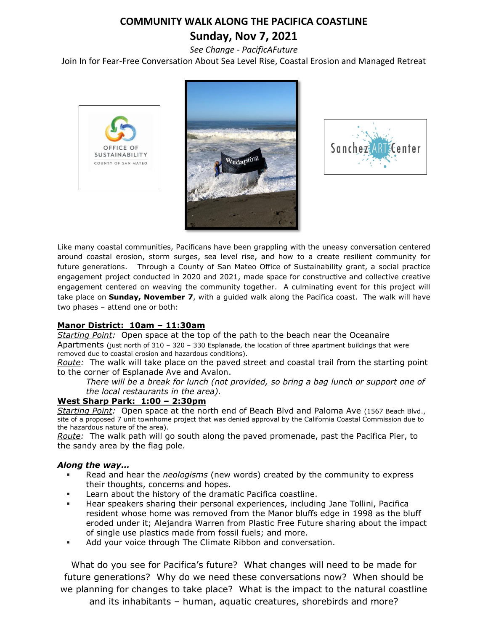## **COMMUNITY WALK ALONG THE PACIFICA COASTLINE Sunday, Nov 7, 2021**

*See Change - PacificAFuture*

Join In for Fear-Free Conversation About Sea Level Rise, Coastal Erosion and Managed Retreat







Like many coastal communities, Pacificans have been grappling with the uneasy conversation centered around coastal erosion, storm surges, sea level rise, and how to a create resilient community for future generations. Through a County of San Mateo Office of Sustainability grant, a social practice engagement project conducted in 2020 and 2021, made space for constructive and collective creative engagement centered on weaving the community together. A culminating event for this project will take place on **Sunday, November 7**, with a guided walk along the Pacifica coast. The walk will have two phases – attend one or both:

#### **Manor District: 10am – 11:30am**

*Starting Point:* Open space at the top of the path to the beach near the Oceanaire Apartments (just north of 310 – 320 – 330 Esplanade, the location of three apartment buildings that were removed due to coastal erosion and hazardous conditions).

*Route:* The walk will take place on the paved street and coastal trail from the starting point to the corner of Esplanade Ave and Avalon.

*There will be a break for lunch (not provided, so bring a bag lunch or support one of the local restaurants in the area).*

#### **West Sharp Park: 1:00 – 2:30pm**

*Starting Point:* Open space at the north end of Beach Blvd and Paloma Ave (1567 Beach Blvd., site of a proposed 7 unit townhome project that was denied approval by the California Coastal Commission due to the hazardous nature of the area).

*Route:* The walk path will go south along the paved promenade, past the Pacifica Pier, to the sandy area by the flag pole.

#### *Along the way…*

- Read and hear the *neologisms* (new words) created by the community to express their thoughts, concerns and hopes.
- Learn about the history of the dramatic Pacifica coastline.
- Hear speakers sharing their personal experiences, including Jane Tollini, Pacifica resident whose home was removed from the Manor bluffs edge in 1998 as the bluff eroded under it; Alejandra Warren from Plastic Free Future sharing about the impact of single use plastics made from fossil fuels; and more.
- Add your voice through The Climate Ribbon and conversation.

What do you see for Pacifica's future? What changes will need to be made for future generations? Why do we need these conversations now? When should be we planning for changes to take place? What is the impact to the natural coastline and its inhabitants – human, aquatic creatures, shorebirds and more?